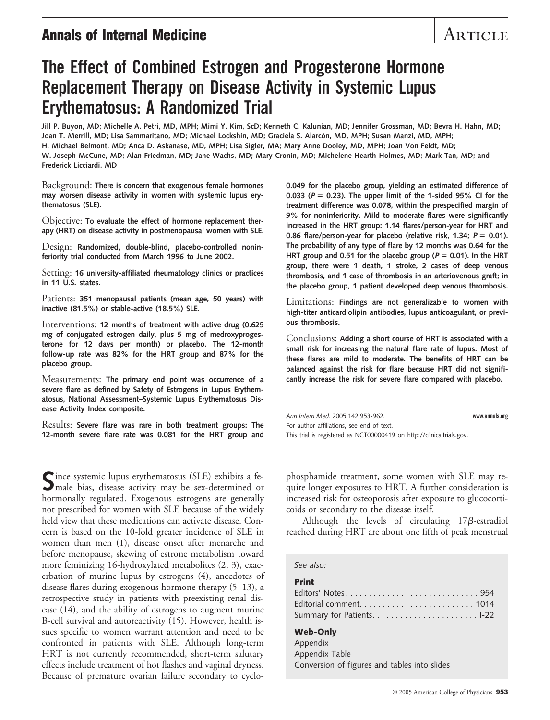## **Annals of Internal Medicine** Annals **ARTICLE**

# **The Effect of Combined Estrogen and Progesterone Hormone Replacement Therapy on Disease Activity in Systemic Lupus Erythematosus: A Randomized Trial**

**Jill P. Buyon, MD; Michelle A. Petri, MD, MPH; Mimi Y. Kim, ScD; Kenneth C. Kalunian, MD; Jennifer Grossman, MD; Bevra H. Hahn, MD; Joan T. Merrill, MD; Lisa Sammaritano, MD; Michael Lockshin, MD; Graciela S. Alarcón, MD, MPH; Susan Manzi, MD, MPH; H. Michael Belmont, MD; Anca D. Askanase, MD, MPH; Lisa Sigler, MA; Mary Anne Dooley, MD, MPH; Joan Von Feldt, MD; W. Joseph McCune, MD; Alan Friedman, MD; Jane Wachs, MD; Mary Cronin, MD; Michelene Hearth-Holmes, MD; Mark Tan, MD; and Frederick Licciardi, MD**

Background: **There is concern that exogenous female hormones may worsen disease activity in women with systemic lupus erythematosus (SLE).**

Objective: **To evaluate the effect of hormone replacement therapy (HRT) on disease activity in postmenopausal women with SLE.**

Design: **Randomized, double-blind, placebo-controlled noninferiority trial conducted from March 1996 to June 2002.**

Setting: **16 university-affiliated rheumatology clinics or practices in 11 U.S. states.**

Patients: **351 menopausal patients (mean age, 50 years) with inactive (81.5%) or stable-active (18.5%) SLE.**

Interventions: **12 months of treatment with active drug (0.625 mg of conjugated estrogen daily, plus 5 mg of medroxyprogesterone for 12 days per month) or placebo. The 12-month follow-up rate was 82% for the HRT group and 87% for the placebo group.**

Measurements: **The primary end point was occurrence of a severe flare as defined by Safety of Estrogens in Lupus Erythematosus, National Assessment–Systemic Lupus Erythematosus Disease Activity Index composite.**

Results: **Severe flare was rare in both treatment groups: The 12-month severe flare rate was 0.081 for the HRT group and** **0.049 for the placebo group, yielding an estimated difference of 0.033 (<sup>P</sup> 0.23). The upper limit of the 1-sided 95% CI for the treatment difference was 0.078, within the prespecified margin of 9% for noninferiority. Mild to moderate flares were significantly increased in the HRT group: 1.14 flares/person-year for HRT and** 0.86 flare/person-year for placebo (relative risk,  $1.34$ ;  $P = 0.01$ ). **The probability of any type of flare by 12 months was 0.64 for the HRT** group and 0.51 for the placebo group ( $P = 0.01$ ). In the HRT **group, there were 1 death, 1 stroke, 2 cases of deep venous thrombosis, and 1 case of thrombosis in an arteriovenous graft; in the placebo group, 1 patient developed deep venous thrombosis.**

Limitations: **Findings are not generalizable to women with high-titer anticardiolipin antibodies, lupus anticoagulant, or previous thrombosis.**

Conclusions: **Adding a short course of HRT is associated with a small risk for increasing the natural flare rate of lupus. Most of these flares are mild to moderate. The benefits of HRT can be balanced against the risk for flare because HRT did not significantly increase the risk for severe flare compared with placebo.**

*Ann Intern Med.* 2005;142:953-962. **www.annals.org** For author affiliations, see end of text. This trial is registered as NCT00000419 on http://clinicaltrials.gov.

**S**ince systemic lupus erythematosus (SLE) exhibits a female bias, disease activity may be sex-determined or hormonally regulated. Exogenous estrogens are generally not prescribed for women with SLE because of the widely held view that these medications can activate disease. Concern is based on the 10-fold greater incidence of SLE in women than men (1), disease onset after menarche and before menopause, skewing of estrone metabolism toward more feminizing 16-hydroxylated metabolites (2, 3), exacerbation of murine lupus by estrogens (4), anecdotes of disease flares during exogenous hormone therapy (5–13), a retrospective study in patients with preexisting renal disease (14), and the ability of estrogens to augment murine B-cell survival and autoreactivity (15). However, health issues specific to women warrant attention and need to be confronted in patients with SLE. Although long-term HRT is not currently recommended, short-term salutary effects include treatment of hot flashes and vaginal dryness. Because of premature ovarian failure secondary to cyclophosphamide treatment, some women with SLE may require longer exposures to HRT. A further consideration is increased risk for osteoporosis after exposure to glucocorticoids or secondary to the disease itself.

Although the levels of circulating  $17\beta$ -estradiol reached during HRT are about one fifth of peak menstrual

#### *See also:*

#### **Print**

#### **Web-Only**

Appendix Appendix Table Conversion of figures and tables into slides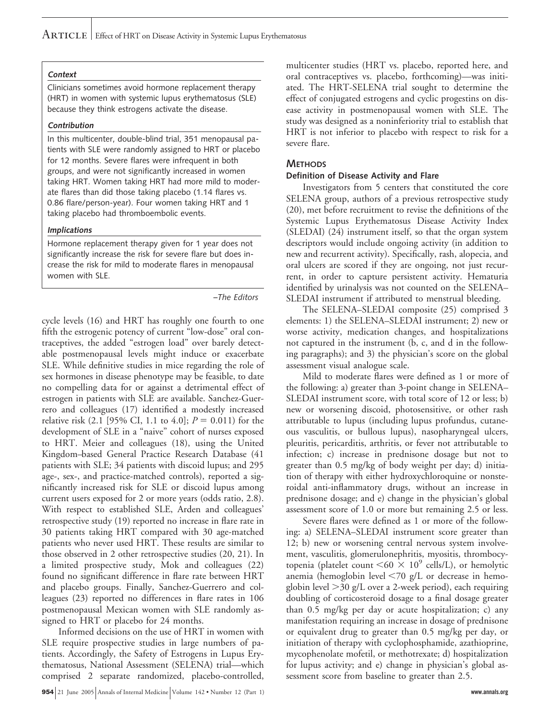#### **Context**

Clinicians sometimes avoid hormone replacement therapy (HRT) in women with systemic lupus erythematosus (SLE) because they think estrogens activate the disease.

#### **Contribution**

In this multicenter, double-blind trial, 351 menopausal patients with SLE were randomly assigned to HRT or placebo for 12 months. Severe flares were infrequent in both groups, and were not significantly increased in women taking HRT. Women taking HRT had more mild to moderate flares than did those taking placebo (1.14 flares vs. 0.86 flare/person-year). Four women taking HRT and 1 taking placebo had thromboembolic events.

#### **Implications**

Hormone replacement therapy given for 1 year does not significantly increase the risk for severe flare but does increase the risk for mild to moderate flares in menopausal women with SLE.

*–The Editors*

cycle levels (16) and HRT has roughly one fourth to one fifth the estrogenic potency of current "low-dose" oral contraceptives, the added "estrogen load" over barely detectable postmenopausal levels might induce or exacerbate SLE. While definitive studies in mice regarding the role of sex hormones in disease phenotype may be feasible, to date no compelling data for or against a detrimental effect of estrogen in patients with SLE are available. Sanchez-Guerrero and colleagues (17) identified a modestly increased relative risk  $(2.1 \, [95\% \, \text{CI}, 1.1 \, \text{to } 4.0]; P = 0.011)$  for the development of SLE in a "naive" cohort of nurses exposed to HRT. Meier and colleagues (18), using the United Kingdom–based General Practice Research Database (41 patients with SLE; 34 patients with discoid lupus; and 295 age-, sex-, and practice-matched controls), reported a significantly increased risk for SLE or discoid lupus among current users exposed for 2 or more years (odds ratio, 2.8). With respect to established SLE, Arden and colleagues' retrospective study (19) reported no increase in flare rate in 30 patients taking HRT compared with 30 age-matched patients who never used HRT. These results are similar to those observed in 2 other retrospective studies (20, 21). In a limited prospective study, Mok and colleagues (22) found no significant difference in flare rate between HRT and placebo groups. Finally, Sanchez-Guerrero and colleagues (23) reported no differences in flare rates in 106 postmenopausal Mexican women with SLE randomly assigned to HRT or placebo for 24 months.

Informed decisions on the use of HRT in women with SLE require prospective studies in large numbers of patients. Accordingly, the Safety of Estrogens in Lupus Erythematosus, National Assessment (SELENA) trial—which comprised 2 separate randomized, placebo-controlled,

**954** 21 June 2005 Annals of Internal Medicine Volume 142 • Number 12 (Part 1) **www.annals.org**

multicenter studies (HRT vs. placebo, reported here, and oral contraceptives vs. placebo, forthcoming)—was initiated. The HRT-SELENA trial sought to determine the effect of conjugated estrogens and cyclic progestins on disease activity in postmenopausal women with SLE. The study was designed as a noninferiority trial to establish that HRT is not inferior to placebo with respect to risk for a severe flare.

### **METHODS**

#### **Definition of Disease Activity and Flare**

Investigators from 5 centers that constituted the core SELENA group, authors of a previous retrospective study (20), met before recruitment to revise the definitions of the Systemic Lupus Erythematosus Disease Activity Index (SLEDAI) (24) instrument itself, so that the organ system descriptors would include ongoing activity (in addition to new and recurrent activity). Specifically, rash, alopecia, and oral ulcers are scored if they are ongoing, not just recurrent, in order to capture persistent activity. Hematuria identified by urinalysis was not counted on the SELENA– SLEDAI instrument if attributed to menstrual bleeding.

The SELENA–SLEDAI composite (25) comprised 3 elements: 1) the SELENA–SLEDAI instrument; 2) new or worse activity, medication changes, and hospitalizations not captured in the instrument (b, c, and d in the following paragraphs); and 3) the physician's score on the global assessment visual analogue scale.

Mild to moderate flares were defined as 1 or more of the following: a) greater than 3-point change in SELENA– SLEDAI instrument score, with total score of 12 or less; b) new or worsening discoid, photosensitive, or other rash attributable to lupus (including lupus profundus, cutaneous vasculitis, or bullous lupus), nasopharyngeal ulcers, pleuritis, pericarditis, arthritis, or fever not attributable to infection; c) increase in prednisone dosage but not to greater than 0.5 mg/kg of body weight per day; d) initiation of therapy with either hydroxychloroquine or nonsteroidal anti-inflammatory drugs, without an increase in prednisone dosage; and e) change in the physician's global assessment score of 1.0 or more but remaining 2.5 or less.

Severe flares were defined as 1 or more of the following: a) SELENA–SLEDAI instrument score greater than 12; b) new or worsening central nervous system involvement, vasculitis, glomerulonephritis, myositis, thrombocytopenia (platelet count  $\leq 60 \times 10^9$  cells/L), or hemolytic anemia (hemoglobin level <70 g/L or decrease in hemoglobin level  $>$ 30 g/L over a 2-week period), each requiring doubling of corticosteroid dosage to a final dosage greater than 0.5 mg/kg per day or acute hospitalization; c) any manifestation requiring an increase in dosage of prednisone or equivalent drug to greater than 0.5 mg/kg per day, or initiation of therapy with cyclophosphamide, azathioprine, mycophenolate mofetil, or methotrexate; d) hospitalization for lupus activity; and e) change in physician's global assessment score from baseline to greater than 2.5.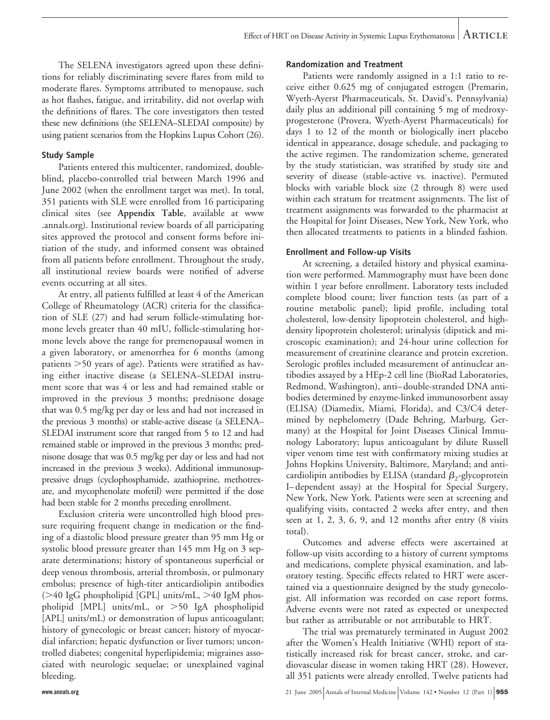The SELENA investigators agreed upon these definitions for reliably discriminating severe flares from mild to moderate flares. Symptoms attributed to menopause, such as hot flashes, fatigue, and irritability, did not overlap with the definitions of flares. The core investigators then tested these new definitions (the SELENA–SLEDAI composite) by using patient scenarios from the Hopkins Lupus Cohort (26).

#### **Study Sample**

Patients entered this multicenter, randomized, doubleblind, placebo-controlled trial between March 1996 and June 2002 (when the enrollment target was met). In total, 351 patients with SLE were enrolled from 16 participating clinical sites (see **Appendix Table**, available at www .annals.org). Institutional review boards of all participating sites approved the protocol and consent forms before initiation of the study, and informed consent was obtained from all patients before enrollment. Throughout the study, all institutional review boards were notified of adverse events occurring at all sites.

At entry, all patients fulfilled at least 4 of the American College of Rheumatology (ACR) criteria for the classification of SLE (27) and had serum follicle-stimulating hormone levels greater than 40 mIU, follicle-stimulating hormone levels above the range for premenopausal women in a given laboratory, or amenorrhea for 6 months (among patients 50 years of age). Patients were stratified as having either inactive disease (a SELENA–SLEDAI instrument score that was 4 or less and had remained stable or improved in the previous 3 months; prednisone dosage that was 0.5 mg/kg per day or less and had not increased in the previous 3 months) or stable-active disease (a SELENA– SLEDAI instrument score that ranged from 5 to 12 and had remained stable or improved in the previous 3 months; prednisone dosage that was 0.5 mg/kg per day or less and had not increased in the previous 3 weeks). Additional immunosuppressive drugs (cyclophosphamide, azathioprine, methotrexate, and mycophenolate mofetil) were permitted if the dose had been stable for 2 months preceding enrollment.

Exclusion criteria were uncontrolled high blood pressure requiring frequent change in medication or the finding of a diastolic blood pressure greater than 95 mm Hg or systolic blood pressure greater than 145 mm Hg on 3 separate determinations; history of spontaneous superficial or deep venous thrombosis, arterial thrombosis, or pulmonary embolus; presence of high-titer anticardiolipin antibodies  $($ >40 IgG phospholipid [GPL] units/mL, >40 IgM phospholipid [MPL] units/mL, or  $>50$  IgA phospholipid [APL] units/mL) or demonstration of lupus anticoagulant; history of gynecologic or breast cancer; history of myocardial infarction; hepatic dysfunction or liver tumors; uncontrolled diabetes; congenital hyperlipidemia; migraines associated with neurologic sequelae; or unexplained vaginal bleeding.

#### **Randomization and Treatment**

Patients were randomly assigned in a 1:1 ratio to receive either 0.625 mg of conjugated estrogen (Premarin, Wyeth-Ayerst Pharmaceuticals, St. David's, Pennsylvania) daily plus an additional pill containing 5 mg of medroxyprogesterone (Provera, Wyeth-Ayerst Pharmaceuticals) for days 1 to 12 of the month or biologically inert placebo identical in appearance, dosage schedule, and packaging to the active regimen. The randomization scheme, generated by the study statistician, was stratified by study site and severity of disease (stable-active vs. inactive). Permuted blocks with variable block size (2 through 8) were used within each stratum for treatment assignments. The list of treatment assignments was forwarded to the pharmacist at the Hospital for Joint Diseases, New York, New York, who then allocated treatments to patients in a blinded fashion.

#### **Enrollment and Follow-up Visits**

At screening, a detailed history and physical examination were performed. Mammography must have been done within 1 year before enrollment. Laboratory tests included complete blood count; liver function tests (as part of a routine metabolic panel); lipid profile, including total cholesterol, low-density lipoprotein cholesterol, and highdensity lipoprotein cholesterol; urinalysis (dipstick and microscopic examination); and 24-hour urine collection for measurement of creatinine clearance and protein excretion. Serologic profiles included measurement of antinuclear antibodies assayed by a HEp-2 cell line (BioRad Laboratories, Redmond, Washington), anti– double-stranded DNA antibodies determined by enzyme-linked immunosorbent assay (ELISA) (Diamedix, Miami, Florida), and C3/C4 determined by nephelometry (Dade Behring, Marburg, Germany) at the Hospital for Joint Diseases Clinical Immunology Laboratory; lupus anticoagulant by dilute Russell viper venom time test with confirmatory mixing studies at Johns Hopkins University, Baltimore, Maryland; and anticardiolipin antibodies by ELISA (standard  $\beta_2$ -glycoprotein I– dependent assay) at the Hospital for Special Surgery, New York, New York. Patients were seen at screening and qualifying visits, contacted 2 weeks after entry, and then seen at 1, 2, 3, 6, 9, and 12 months after entry (8 visits total).

Outcomes and adverse effects were ascertained at follow-up visits according to a history of current symptoms and medications, complete physical examination, and laboratory testing. Specific effects related to HRT were ascertained via a questionnaire designed by the study gynecologist. All information was recorded on case report forms. Adverse events were not rated as expected or unexpected but rather as attributable or not attributable to HRT.

The trial was prematurely terminated in August 2002 after the Women's Health Initiative (WHI) report of statistically increased risk for breast cancer, stroke, and cardiovascular disease in women taking HRT (28). However, all 351 patients were already enrolled. Twelve patients had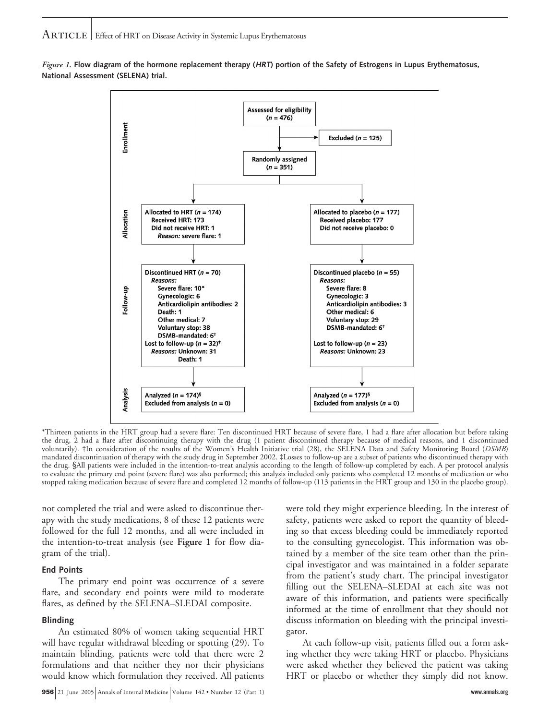$\mathrm{ARTICLE}\mid$  Effect of HRT on Disease Activity in Systemic Lupus Erythematosus





\*Thirteen patients in the HRT group had a severe flare: Ten discontinued HRT because of severe flare, 1 had a flare after allocation but before taking the drug, 2 had a flare after discontinuing therapy with the drug (1 patient discontinued therapy because of medical reasons, and 1 discontinued voluntarily). †In consideration of the results of the Women's Health Initiative trial (28), the SELENA Data and Safety Monitoring Board (*DSMB*) mandated discontinuation of therapy with the study drug in September 2002. ‡Losses to follow-up are a subset of patients who discontinued therapy with the drug. §All patients were included in the intention-to-treat analysis according to the length of follow-up completed by each. A per protocol analysis to evaluate the primary end point (severe flare) was also performed; this analysis included only patients who completed 12 months of medication or who stopped taking medication because of severe flare and completed 12 months of follow-up (113 patients in the HRT group and 130 in the placebo group).

not completed the trial and were asked to discontinue therapy with the study medications, 8 of these 12 patients were followed for the full 12 months, and all were included in the intention-to-treat analysis (see **Figure 1** for flow diagram of the trial).

#### **End Points**

The primary end point was occurrence of a severe flare, and secondary end points were mild to moderate flares, as defined by the SELENA–SLEDAI composite.

#### **Blinding**

An estimated 80% of women taking sequential HRT will have regular withdrawal bleeding or spotting (29). To maintain blinding, patients were told that there were 2 formulations and that neither they nor their physicians would know which formulation they received. All patients

were told they might experience bleeding. In the interest of safety, patients were asked to report the quantity of bleeding so that excess bleeding could be immediately reported to the consulting gynecologist. This information was obtained by a member of the site team other than the principal investigator and was maintained in a folder separate from the patient's study chart. The principal investigator filling out the SELENA–SLEDAI at each site was not aware of this information, and patients were specifically informed at the time of enrollment that they should not discuss information on bleeding with the principal investigator.

At each follow-up visit, patients filled out a form asking whether they were taking HRT or placebo. Physicians were asked whether they believed the patient was taking HRT or placebo or whether they simply did not know.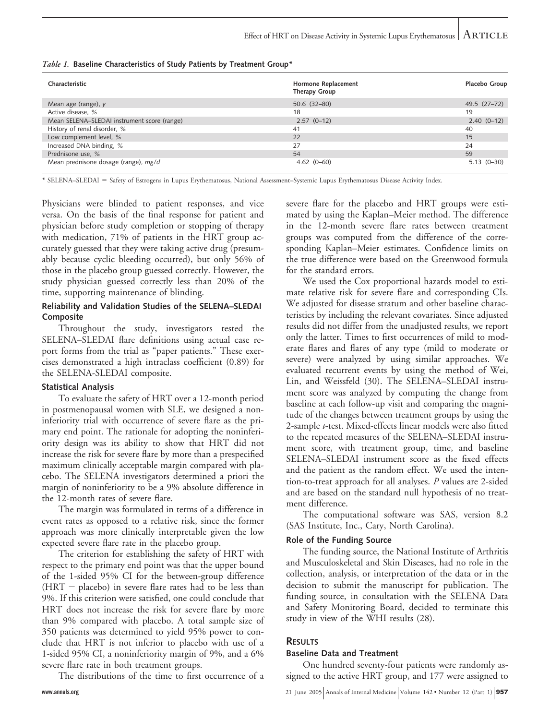| Characteristic                              | Hormone Replacement<br>Therapy Group | Placebo Group |
|---------------------------------------------|--------------------------------------|---------------|
| Mean age (range), y                         | $50.6(32-80)$                        | 49.5 (27–72)  |
| Active disease, %                           | 18                                   | 19            |
| Mean SELENA-SLEDAI instrument score (range) | $2.57(0-12)$                         | $2.40(0-12)$  |
| History of renal disorder, %                | 41                                   | 40            |
| Low complement level, %                     | 22                                   | 15            |
| Increased DNA binding, %                    | 27                                   | 24            |
| Prednisone use, %                           | 54                                   | 59            |
| Mean prednisone dosage (range), mg/d        | $4.62(0-60)$                         | $5.13(0-30)$  |

*Table 1.* **Baseline Characteristics of Study Patients by Treatment Group\***

\* SELENA–SLEDAI Safety of Estrogens in Lupus Erythematosus, National Assessment–Systemic Lupus Erythematosus Disease Activity Index.

Physicians were blinded to patient responses, and vice versa. On the basis of the final response for patient and physician before study completion or stopping of therapy with medication, 71% of patients in the HRT group accurately guessed that they were taking active drug (presumably because cyclic bleeding occurred), but only 56% of those in the placebo group guessed correctly. However, the study physician guessed correctly less than 20% of the time, supporting maintenance of blinding.

#### **Reliability and Validation Studies of the SELENA–SLEDAI Composite**

Throughout the study, investigators tested the SELENA–SLEDAI flare definitions using actual case report forms from the trial as "paper patients." These exercises demonstrated a high intraclass coefficient (0.89) for the SELENA-SLEDAI composite.

#### **Statistical Analysis**

To evaluate the safety of HRT over a 12-month period in postmenopausal women with SLE, we designed a noninferiority trial with occurrence of severe flare as the primary end point. The rationale for adopting the noninferiority design was its ability to show that HRT did not increase the risk for severe flare by more than a prespecified maximum clinically acceptable margin compared with placebo. The SELENA investigators determined a priori the margin of noninferiority to be a 9% absolute difference in the 12-month rates of severe flare.

The margin was formulated in terms of a difference in event rates as opposed to a relative risk, since the former approach was more clinically interpretable given the low expected severe flare rate in the placebo group.

The criterion for establishing the safety of HRT with respect to the primary end point was that the upper bound of the 1-sided 95% CI for the between-group difference  $(HRT - placebo)$  in severe flare rates had to be less than 9%. If this criterion were satisfied, one could conclude that HRT does not increase the risk for severe flare by more than 9% compared with placebo. A total sample size of 350 patients was determined to yield 95% power to conclude that HRT is not inferior to placebo with use of a 1-sided 95% CI, a noninferiority margin of 9%, and a 6% severe flare rate in both treatment groups.

The distributions of the time to first occurrence of a

severe flare for the placebo and HRT groups were estimated by using the Kaplan–Meier method. The difference in the 12-month severe flare rates between treatment groups was computed from the difference of the corresponding Kaplan–Meier estimates. Confidence limits on the true difference were based on the Greenwood formula for the standard errors.

We used the Cox proportional hazards model to estimate relative risk for severe flare and corresponding CIs. We adjusted for disease stratum and other baseline characteristics by including the relevant covariates. Since adjusted results did not differ from the unadjusted results, we report only the latter. Times to first occurrences of mild to moderate flares and flares of any type (mild to moderate or severe) were analyzed by using similar approaches. We evaluated recurrent events by using the method of Wei, Lin, and Weissfeld (30). The SELENA–SLEDAI instrument score was analyzed by computing the change from baseline at each follow-up visit and comparing the magnitude of the changes between treatment groups by using the 2-sample *t*-test. Mixed-effects linear models were also fitted to the repeated measures of the SELENA–SLEDAI instrument score, with treatment group, time, and baseline SELENA–SLEDAI instrument score as the fixed effects and the patient as the random effect. We used the intention-to-treat approach for all analyses. *P* values are 2-sided and are based on the standard null hypothesis of no treatment difference.

The computational software was SAS, version 8.2 (SAS Institute, Inc., Cary, North Carolina).

#### **Role of the Funding Source**

The funding source, the National Institute of Arthritis and Musculoskeletal and Skin Diseases, had no role in the collection, analysis, or interpretation of the data or in the decision to submit the manuscript for publication. The funding source, in consultation with the SELENA Data and Safety Monitoring Board, decided to terminate this study in view of the WHI results (28).

#### **RESULTS**

#### **Baseline Data and Treatment**

One hundred seventy-four patients were randomly assigned to the active HRT group, and 177 were assigned to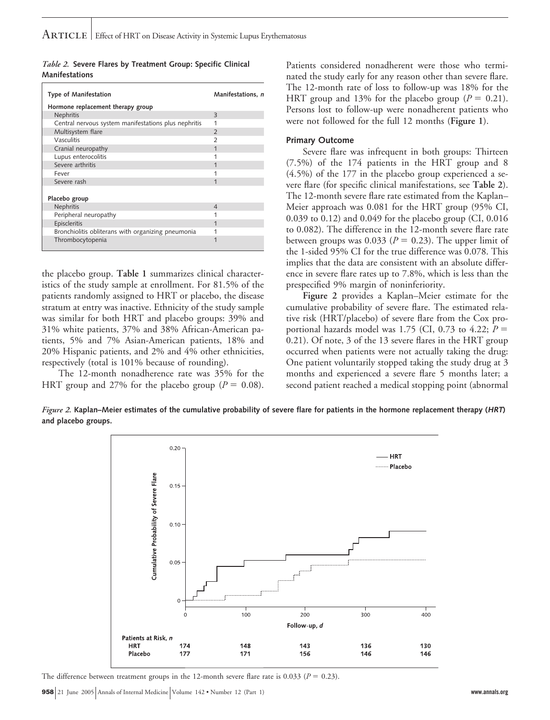|                |  | Table 2. Severe Flares by Treatment Group: Specific Clinical |  |  |
|----------------|--|--------------------------------------------------------------|--|--|
| Manifestations |  |                                                              |  |  |

| Type of Manifestation                                | Manifestations, n |
|------------------------------------------------------|-------------------|
| Hormone replacement therapy group                    |                   |
| Nephritis                                            | 3                 |
| Central nervous system manifestations plus nephritis | 1                 |
| Multisystem flare                                    | $\overline{2}$    |
| Vasculitis                                           | フ                 |
| Cranial neuropathy                                   |                   |
| Lupus enterocolitis                                  |                   |
| Severe arthritis                                     |                   |
| Fever                                                |                   |
| Severe rash                                          |                   |
|                                                      |                   |
| Placebo group                                        | $\overline{4}$    |
| Nephritis                                            |                   |
| Peripheral neuropathy                                |                   |
| Episcleritis                                         |                   |
| Bronchiolitis obliterans with organizing pneumonia   |                   |
| Thrombocytopenia                                     |                   |

the placebo group. **Table 1** summarizes clinical characteristics of the study sample at enrollment. For 81.5% of the patients randomly assigned to HRT or placebo, the disease stratum at entry was inactive. Ethnicity of the study sample was similar for both HRT and placebo groups: 39% and 31% white patients, 37% and 38% African-American patients, 5% and 7% Asian-American patients, 18% and 20% Hispanic patients, and 2% and 4% other ethnicities, respectively (total is 101% because of rounding).

The 12-month nonadherence rate was 35% for the HRT group and 27% for the placebo group ( $P = 0.08$ ).

Patients considered nonadherent were those who terminated the study early for any reason other than severe flare. The 12-month rate of loss to follow-up was 18% for the HRT group and 13% for the placebo group ( $P = 0.21$ ). Persons lost to follow-up were nonadherent patients who were not followed for the full 12 months (**Figure 1**).

#### **Primary Outcome**

Severe flare was infrequent in both groups: Thirteen (7.5%) of the 174 patients in the HRT group and 8 (4.5%) of the 177 in the placebo group experienced a severe flare (for specific clinical manifestations, see **Table 2**). The 12-month severe flare rate estimated from the Kaplan– Meier approach was 0.081 for the HRT group (95% CI, 0.039 to 0.12) and 0.049 for the placebo group (CI, 0.016 to 0.082). The difference in the 12-month severe flare rate between groups was 0.033 ( $P = 0.23$ ). The upper limit of the 1-sided 95% CI for the true difference was 0.078. This implies that the data are consistent with an absolute difference in severe flare rates up to 7.8%, which is less than the prespecified 9% margin of noninferiority.

**Figure 2** provides a Kaplan–Meier estimate for the cumulative probability of severe flare. The estimated relative risk (HRT/placebo) of severe flare from the Cox proportional hazards model was 1.75 (CI, 0.73 to 4.22;  $P =$ 0.21). Of note, 3 of the 13 severe flares in the HRT group occurred when patients were not actually taking the drug: One patient voluntarily stopped taking the study drug at 3 months and experienced a severe flare 5 months later; a second patient reached a medical stopping point (abnormal

*Figure 2.* **Kaplan–Meier estimates of the cumulative probability of severe flare for patients in the hormone replacement therapy (HRT) and placebo groups.**



The difference between treatment groups in the 12-month severe flare rate is 0.033 ( $P = 0.23$ ).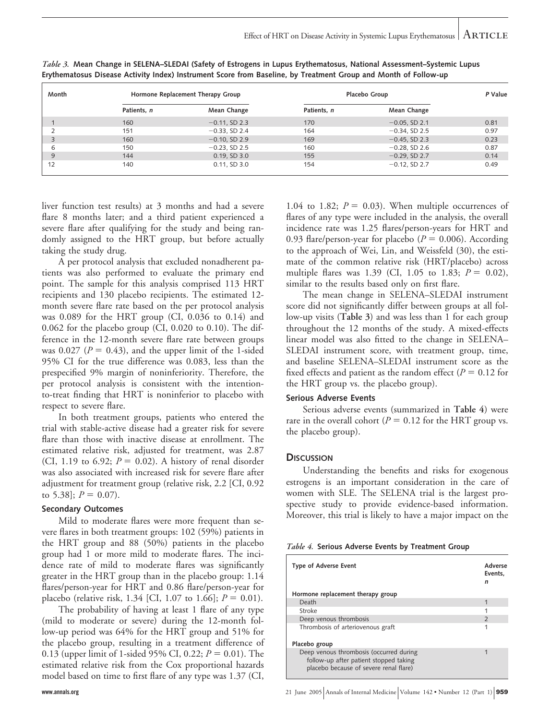| Month | Hormone Replacement Therapy Group |                         | Placebo Group | P Value          |      |
|-------|-----------------------------------|-------------------------|---------------|------------------|------|
|       | Patients, n                       | Mean Change             | Patients, n   | Mean Change      |      |
|       | 160                               | $-0.11$ , SD 2.3        | 170           | $-0.05$ , SD 2.1 | 0.81 |
|       | 151                               | $-0.33$ , SD 2.4        | 164           | $-0.34$ , SD 2.5 | 0.97 |
|       | 160                               | $-0.10$ , SD 2.9        | 169           | $-0.45$ , SD 2.3 | 0.23 |
| 6     | 150                               | $-0.23.$ SD 2.5         | 160           | $-0.28$ , SD 2.6 | 0.87 |
| 9     | 144                               | 0.19, SD <sub>3.0</sub> | 155           | $-0.29$ , SD 2.7 | 0.14 |
| 12    | 140                               | 0.11, SD 3.0            | 154           | $-0.12$ , SD 2.7 | 0.49 |

*Table 3.* **Mean Change in SELENA–SLEDAI (Safety of Estrogens in Lupus Erythematosus, National Assessment–Systemic Lupus Erythematosus Disease Activity Index) Instrument Score from Baseline, by Treatment Group and Month of Follow-up**

liver function test results) at 3 months and had a severe flare 8 months later; and a third patient experienced a severe flare after qualifying for the study and being randomly assigned to the HRT group, but before actually taking the study drug.

A per protocol analysis that excluded nonadherent patients was also performed to evaluate the primary end point. The sample for this analysis comprised 113 HRT recipients and 130 placebo recipients. The estimated 12 month severe flare rate based on the per protocol analysis was 0.089 for the HRT group (CI, 0.036 to 0.14) and 0.062 for the placebo group (CI, 0.020 to 0.10). The difference in the 12-month severe flare rate between groups was  $0.027$  ( $P = 0.43$ ), and the upper limit of the 1-sided 95% CI for the true difference was 0.083, less than the prespecified 9% margin of noninferiority. Therefore, the per protocol analysis is consistent with the intentionto-treat finding that HRT is noninferior to placebo with respect to severe flare.

In both treatment groups, patients who entered the trial with stable-active disease had a greater risk for severe flare than those with inactive disease at enrollment. The estimated relative risk, adjusted for treatment, was 2.87 (CI, 1.19 to 6.92;  $P = 0.02$ ). A history of renal disorder was also associated with increased risk for severe flare after adjustment for treatment group (relative risk, 2.2 [CI, 0.92 to 5.38];  $P = 0.07$ ).

#### **Secondary Outcomes**

Mild to moderate flares were more frequent than severe flares in both treatment groups: 102 (59%) patients in the HRT group and 88 (50%) patients in the placebo group had 1 or more mild to moderate flares. The incidence rate of mild to moderate flares was significantly greater in the HRT group than in the placebo group: 1.14 flares/person-year for HRT and 0.86 flare/person-year for placebo (relative risk,  $1.34$  [CI,  $1.07$  to  $1.66$ ];  $P = 0.01$ ).

The probability of having at least 1 flare of any type (mild to moderate or severe) during the 12-month follow-up period was 64% for the HRT group and 51% for the placebo group, resulting in a treatment difference of 0.13 (upper limit of 1-sided 95% CI, 0.22;  $P = 0.01$ ). The estimated relative risk from the Cox proportional hazards model based on time to first flare of any type was 1.37 (CI,

1.04 to 1.82;  $P = 0.03$ ). When multiple occurrences of flares of any type were included in the analysis, the overall incidence rate was 1.25 flares/person-years for HRT and 0.93 flare/person-year for placebo ( $P = 0.006$ ). According to the approach of Wei, Lin, and Weissfeld (30), the estimate of the common relative risk (HRT/placebo) across multiple flares was 1.39 (CI, 1.05 to 1.83;  $P = 0.02$ ), similar to the results based only on first flare.

The mean change in SELENA–SLEDAI instrument score did not significantly differ between groups at all follow-up visits (**Table 3**) and was less than 1 for each group throughout the 12 months of the study. A mixed-effects linear model was also fitted to the change in SELENA– SLEDAI instrument score, with treatment group, time, and baseline SELENA–SLEDAI instrument score as the fixed effects and patient as the random effect ( $P = 0.12$  for the HRT group vs. the placebo group).

#### **Serious Adverse Events**

Serious adverse events (summarized in **Table 4**) were rare in the overall cohort ( $P = 0.12$  for the HRT group vs. the placebo group).

#### **DISCUSSION**

Understanding the benefits and risks for exogenous estrogens is an important consideration in the care of women with SLE. The SELENA trial is the largest prospective study to provide evidence-based information. Moreover, this trial is likely to have a major impact on the

|  |  | Table 4. Serious Adverse Events by Treatment Group |  |
|--|--|----------------------------------------------------|--|
|  |  |                                                    |  |

| <b>Type of Adverse Event</b>                                                                                                | Adverse<br>Events.<br>n |
|-----------------------------------------------------------------------------------------------------------------------------|-------------------------|
| Hormone replacement therapy group                                                                                           |                         |
| Death                                                                                                                       | 1                       |
| Stroke                                                                                                                      |                         |
| Deep venous thrombosis                                                                                                      | $\mathcal{P}$           |
| Thrombosis of arteriovenous graft                                                                                           | 1                       |
| Placebo group                                                                                                               |                         |
| Deep venous thrombosis (occurred during<br>follow-up after patient stopped taking<br>placebo because of severe renal flare) |                         |

**www.annals.org** 21 June 2005 Annals of Internal Medicine Volume 142 • Number 12 (Part 1) **959**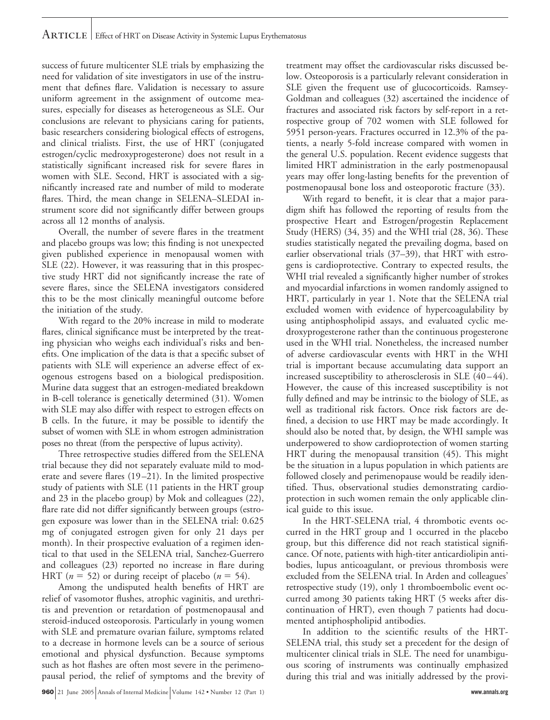#### ARTICLE Effect of HRT on Disease Activity in Systemic Lupus Erythematosus

success of future multicenter SLE trials by emphasizing the need for validation of site investigators in use of the instrument that defines flare. Validation is necessary to assure uniform agreement in the assignment of outcome measures, especially for diseases as heterogeneous as SLE. Our conclusions are relevant to physicians caring for patients, basic researchers considering biological effects of estrogens, and clinical trialists. First, the use of HRT (conjugated estrogen/cyclic medroxyprogesterone) does not result in a statistically significant increased risk for severe flares in women with SLE. Second, HRT is associated with a significantly increased rate and number of mild to moderate flares. Third, the mean change in SELENA–SLEDAI instrument score did not significantly differ between groups across all 12 months of analysis.

Overall, the number of severe flares in the treatment and placebo groups was low; this finding is not unexpected given published experience in menopausal women with SLE (22). However, it was reassuring that in this prospective study HRT did not significantly increase the rate of severe flares, since the SELENA investigators considered this to be the most clinically meaningful outcome before the initiation of the study.

With regard to the 20% increase in mild to moderate flares, clinical significance must be interpreted by the treating physician who weighs each individual's risks and benefits. One implication of the data is that a specific subset of patients with SLE will experience an adverse effect of exogenous estrogens based on a biological predisposition. Murine data suggest that an estrogen-mediated breakdown in B-cell tolerance is genetically determined (31). Women with SLE may also differ with respect to estrogen effects on B cells. In the future, it may be possible to identify the subset of women with SLE in whom estrogen administration poses no threat (from the perspective of lupus activity).

Three retrospective studies differed from the SELENA trial because they did not separately evaluate mild to moderate and severe flares (19 –21). In the limited prospective study of patients with SLE (11 patients in the HRT group and 23 in the placebo group) by Mok and colleagues (22), flare rate did not differ significantly between groups (estrogen exposure was lower than in the SELENA trial: 0.625 mg of conjugated estrogen given for only 21 days per month). In their prospective evaluation of a regimen identical to that used in the SELENA trial, Sanchez-Guerrero and colleagues (23) reported no increase in flare during HRT ( $n = 52$ ) or during receipt of placebo ( $n = 54$ ).

Among the undisputed health benefits of HRT are relief of vasomotor flushes, atrophic vaginitis, and urethritis and prevention or retardation of postmenopausal and steroid-induced osteoporosis. Particularly in young women with SLE and premature ovarian failure, symptoms related to a decrease in hormone levels can be a source of serious emotional and physical dysfunction. Because symptoms such as hot flashes are often most severe in the perimenopausal period, the relief of symptoms and the brevity of treatment may offset the cardiovascular risks discussed below. Osteoporosis is a particularly relevant consideration in SLE given the frequent use of glucocorticoids. Ramsey-Goldman and colleagues (32) ascertained the incidence of fractures and associated risk factors by self-report in a retrospective group of 702 women with SLE followed for 5951 person-years. Fractures occurred in 12.3% of the patients, a nearly 5-fold increase compared with women in the general U.S. population. Recent evidence suggests that limited HRT administration in the early postmenopausal years may offer long-lasting benefits for the prevention of postmenopausal bone loss and osteoporotic fracture (33).

With regard to benefit, it is clear that a major paradigm shift has followed the reporting of results from the prospective Heart and Estrogen/progestin Replacement Study (HERS) (34, 35) and the WHI trial (28, 36). These studies statistically negated the prevailing dogma, based on earlier observational trials (37–39), that HRT with estrogens is cardioprotective. Contrary to expected results, the WHI trial revealed a significantly higher number of strokes and myocardial infarctions in women randomly assigned to HRT, particularly in year 1. Note that the SELENA trial excluded women with evidence of hypercoagulability by using antiphospholipid assays, and evaluated cyclic medroxyprogesterone rather than the continuous progesterone used in the WHI trial. Nonetheless, the increased number of adverse cardiovascular events with HRT in the WHI trial is important because accumulating data support an increased susceptibility to atherosclerosis in SLE  $(40-44)$ . However, the cause of this increased susceptibility is not fully defined and may be intrinsic to the biology of SLE, as well as traditional risk factors. Once risk factors are defined, a decision to use HRT may be made accordingly. It should also be noted that, by design, the WHI sample was underpowered to show cardioprotection of women starting HRT during the menopausal transition (45). This might be the situation in a lupus population in which patients are followed closely and perimenopause would be readily identified. Thus, observational studies demonstrating cardioprotection in such women remain the only applicable clinical guide to this issue.

In the HRT-SELENA trial, 4 thrombotic events occurred in the HRT group and 1 occurred in the placebo group, but this difference did not reach statistical significance. Of note, patients with high-titer anticardiolipin antibodies, lupus anticoagulant, or previous thrombosis were excluded from the SELENA trial. In Arden and colleagues' retrospective study (19), only 1 thromboembolic event occurred among 30 patients taking HRT (5 weeks after discontinuation of HRT), even though 7 patients had documented antiphospholipid antibodies.

In addition to the scientific results of the HRT-SELENA trial, this study set a precedent for the design of multicenter clinical trials in SLE. The need for unambiguous scoring of instruments was continually emphasized during this trial and was initially addressed by the provi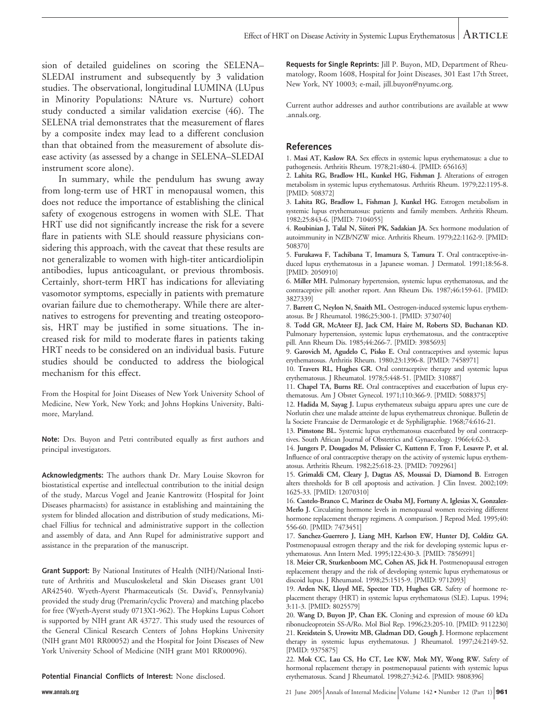sion of detailed guidelines on scoring the SELENA– SLEDAI instrument and subsequently by 3 validation studies. The observational, longitudinal LUMINA (LUpus in Minority Populations: NAture vs. Nurture) cohort study conducted a similar validation exercise (46). The SELENA trial demonstrates that the measurement of flares by a composite index may lead to a different conclusion than that obtained from the measurement of absolute disease activity (as assessed by a change in SELENA–SLEDAI instrument score alone).

In summary, while the pendulum has swung away from long-term use of HRT in menopausal women, this does not reduce the importance of establishing the clinical safety of exogenous estrogens in women with SLE. That HRT use did not significantly increase the risk for a severe flare in patients with SLE should reassure physicians considering this approach, with the caveat that these results are not generalizable to women with high-titer anticardiolipin antibodies, lupus anticoagulant, or previous thrombosis. Certainly, short-term HRT has indications for alleviating vasomotor symptoms, especially in patients with premature ovarian failure due to chemotherapy. While there are alternatives to estrogens for preventing and treating osteoporosis, HRT may be justified in some situations. The increased risk for mild to moderate flares in patients taking HRT needs to be considered on an individual basis. Future studies should be conducted to address the biological mechanism for this effect.

From the Hospital for Joint Diseases of New York University School of Medicine, New York, New York; and Johns Hopkins University, Baltimore, Maryland.

**Note:** Drs. Buyon and Petri contributed equally as first authors and principal investigators.

**Acknowledgments:** The authors thank Dr. Mary Louise Skovron for biostatistical expertise and intellectual contribution to the initial design of the study, Marcus Vogel and Jeanie Kantrowitz (Hospital for Joint Diseases pharmacists) for assistance in establishing and maintaining the system for blinded allocation and distribution of study medications, Michael Fillius for technical and administrative support in the collection and assembly of data, and Ann Rupel for administrative support and assistance in the preparation of the manuscript.

**Grant Support:** By National Institutes of Health (NIH)/National Institute of Arthritis and Musculoskeletal and Skin Diseases grant U01 AR42540. Wyeth-Ayerst Pharmaceuticals (St. David's, Pennsylvania) provided the study drug (Premarin/cyclic Provera) and matching placebo for free (Wyeth-Ayerst study 0713X1-962). The Hopkins Lupus Cohort is supported by NIH grant AR 43727. This study used the resources of the General Clinical Research Centers of Johns Hopkins University (NIH grant M01 RR00052) and the Hospital for Joint Diseases of New York University School of Medicine (NIH grant M01 RR00096).

**Potential Financial Conflicts of Interest:** None disclosed.

**Requests for Single Reprints:** Jill P. Buyon, MD, Department of Rheumatology, Room 1608, Hospital for Joint Diseases, 301 East 17th Street, New York, NY 10003; e-mail, jill.buyon@nyumc.org.

Current author addresses and author contributions are available at www .annals.org.

#### **References**

1. **Masi AT, Kaslow RA.** Sex effects in systemic lupus erythematosus: a clue to pathogenesis. Arthritis Rheum. 1978;21:480-4. [PMID: 656163]

2. **Lahita RG, Bradlow HL, Kunkel HG, Fishman J.** Alterations of estrogen metabolism in systemic lupus erythematosus. Arthritis Rheum. 1979;22:1195-8. [PMID: 508372]

3. **Lahita RG, Bradlow L, Fishman J, Kunkel HG.** Estrogen metabolism in systemic lupus erythematosus: patients and family members. Arthritis Rheum. 1982;25:843-6. [PMID: 7104055]

4. **Roubinian J, Talal N, Siiteri PK, Sadakian JA.** Sex hormone modulation of autoimmunity in NZB/NZW mice. Arthritis Rheum. 1979;22:1162-9. [PMID: 508370]

5. **Furukawa F, Tachibana T, Imamura S, Tamura T.** Oral contraceptive-induced lupus erythematosus in a Japanese woman. J Dermatol. 1991;18:56-8. [PMID: 2050910]

6. **Miller MH.** Pulmonary hypertension, systemic lupus erythematosus, and the contraceptive pill: another report. Ann Rheum Dis. 1987;46:159-61. [PMID: 3827339]

7. **Barrett C, Neylon N, Snaith ML.** Oestrogen-induced systemic lupus erythematosus. Br J Rheumatol. 1986;25:300-1. [PMID: 3730740]

8. **Todd GR, McAteer EJ, Jack CM, Haire M, Roberts SD, Buchanan KD.** Pulmonary hypertension, systemic lupus erythematosus, and the contraceptive pill. Ann Rheum Dis. 1985;44:266-7. [PMID: 3985693]

9. **Garovich M, Agudelo C, Pisko E.** Oral contraceptives and systemic lupus erythematosus. Arthritis Rheum. 1980;23:1396-8. [PMID: 7458971]

10. **Travers RL, Hughes GR.** Oral contraceptive therapy and systemic lupus erythematosus. J Rheumatol. 1978;5:448-51. [PMID: 310887]

11. **Chapel TA, Burns RE.** Oral contraceptives and exacerbation of lupus erythematosus. Am J Obstet Gynecol. 1971;110:366-9. [PMID: 5088375]

12. **Hadida M, Sayag J.** Lupus erythemateux subaigu apparu apres une cure de Norlutin chez une malade atteinte de lupus erythematreux chronique. Bulletin de la Societe Francaise de Dermatologie et de Syphiligraphie. 1968;74:616-21.

13. **Pimstone BL.** Systemic lupus erythematosus exacerbated by oral contraceptives. South African Journal of Obstetrics and Gynaecology. 1966;4:62-3.

14. **Jungers P, Dougados M, Pelissier C, Kuttenn F, Tron F, Lesavre P, et al.** Influence of oral contraceptive therapy on the activity of systemic lupus erythematosus. Arthritis Rheum. 1982;25:618-23. [PMID: 7092961]

15. **Grimaldi CM, Cleary J, Dagtas AS, Moussai D, Diamond B.** Estrogen alters thresholds for B cell apoptosis and activation. J Clin Invest. 2002;109: 1625-33. [PMID: 12070310]

16. **Castelo-Branco C, Marinez de Osaba MJ, Fortuny A, Iglesias X, Gonzalez-Merlo J.** Circulating hormone levels in menopausal women receiving different hormone replacement therapy regimens. A comparison. J Reprod Med. 1995;40: 556-60. [PMID: 7473451]

17. **Sanchez-Guerrero J, Liang MH, Karlson EW, Hunter DJ, Colditz GA.** Postmenopausal estrogen therapy and the risk for developing systemic lupus erythematosus. Ann Intern Med. 1995;122:430-3. [PMID: 7856991]

18. **Meier CR, Sturkenboom MC, Cohen AS, Jick H.** Postmenopausal estrogen replacement therapy and the risk of developing systemic lupus erythematosus or discoid lupus. J Rheumatol. 1998;25:1515-9. [PMID: 9712093]

19. **Arden NK, Lloyd ME, Spector TD, Hughes GR.** Safety of hormone replacement therapy (HRT) in systemic lupus erythematosus (SLE). Lupus. 1994; 3:11-3. [PMID: 8025579]

20. **Wang D, Buyon JP, Chan EK.** Cloning and expression of mouse 60 kDa ribonucleoprotein SS-A/Ro. Mol Biol Rep. 1996;23:205-10. [PMID: 9112230] 21. **Kreidstein S, Urowitz MB, Gladman DD, Gough J.** Hormone replacement therapy in systemic lupus erythematosus. J Rheumatol. 1997;24:2149-52. [PMID: 9375875]

22. **Mok CC, Lau CS, Ho CT, Lee KW, Mok MY, Wong RW.** Safety of hormonal replacement therapy in postmenopausal patients with systemic lupus erythematosus. Scand J Rheumatol. 1998;27:342-6. [PMID: 9808396]

**www.annals.org** 21 June 2005 Annals of Internal Medicine Volume 142 • Number 12 (Part 1) **961**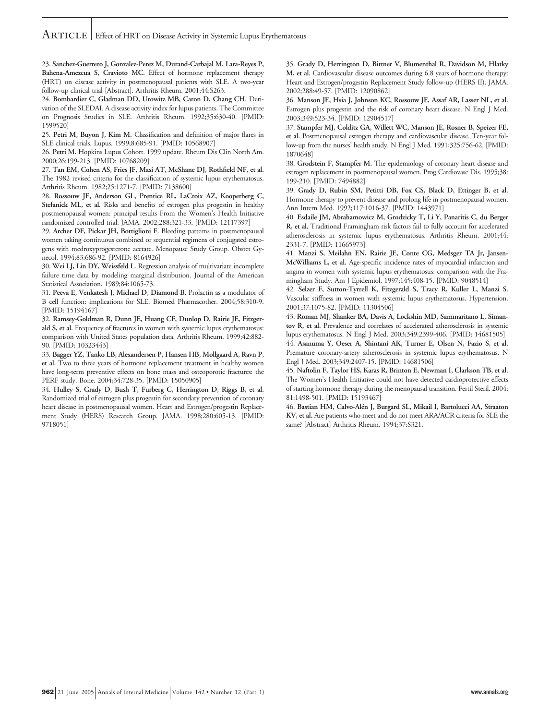#### ARTICLE Effect of HRT on Disease Activity in Systemic Lupus Erythematosus

23. **Sanchez-Guerrero J, Gonzalez-Perez M, Durand-Carbajal M, Lara-Reyes P, Bahena-Amezcua S, Cravioto MC.** Effect of hormone replacement therapy (HRT) on disease activity in postmenopausal patients with SLE. A two-year follow-up clinical trial [Abstract]. Arthritis Rheum. 2001;44:S263.

24. **Bombardier C, Gladman DD, Urowitz MB, Caron D, Chang CH.** Derivation of the SLEDAI. A disease activity index for lupus patients. The Committee on Prognosis Studies in SLE. Arthritis Rheum. 1992;35:630-40. [PMID: 1599520]

25. **Petri M, Buyon J, Kim M.** Classification and definition of major flares in SLE clinical trials. Lupus. 1999;8:685-91. [PMID: 10568907]

26. **Petri M.** Hopkins Lupus Cohort. 1999 update. Rheum Dis Clin North Am. 2000;26:199-213. [PMID: 10768209]

27. **Tan EM, Cohen AS, Fries JF, Masi AT, McShane DJ, Rothfield NF, et al.** The 1982 revised criteria for the classification of systemic lupus erythematosus. Arthritis Rheum. 1982;25:1271-7. [PMID: 7138600]

28. **Rossouw JE, Anderson GL, Prentice RL, LaCroix AZ, Kooperberg C, Stefanick ML, et al.** Risks and benefits of estrogen plus progestin in healthy postmenopausal women: principal results From the Women's Health Initiative randomized controlled trial. JAMA. 2002;288:321-33. [PMID: 12117397]

29. **Archer DF, Pickar JH, Bottiglioni F.** Bleeding patterns in postmenopausal women taking continuous combined or sequential regimens of conjugated estrogens with medroxyprogesterone acetate. Menopause Study Group. Obstet Gynecol. 1994;83:686-92. [PMID: 8164926]

30. **Wei LJ, Lin DY, Weissfeld L.** Regression analysis of multivariate incomplete failure time data by modeling marginal distribution. Journal of the American Statistical Association. 1989;84:1065-73.

31. **Peeva E, Venkatesh J, Michael D, Diamond B.** Prolactin as a modulator of B cell function: implications for SLE. Biomed Pharmacother. 2004;58:310-9. [PMID: 15194167]

32. **Ramsey-Goldman R, Dunn JE, Huang CF, Dunlop D, Rairie JE, Fitzgerald S, et al.** Frequency of fractures in women with systemic lupus erythematosus: comparison with United States population data. Arthritis Rheum. 1999;42:882- 90. [PMID: 10323443]

33. **Bagger YZ, Tanko LB, Alexandersen P, Hansen HB, Mollgaard A, Ravn P, et al.** Two to three years of hormone replacement treatment in healthy women have long-term preventive effects on bone mass and osteoporotic fractures: the PERF study. Bone. 2004;34:728-35. [PMID: 15050905]

34. **Hulley S, Grady D, Bush T, Furberg C, Herrington D, Riggs B, et al.** Randomized trial of estrogen plus progestin for secondary prevention of coronary heart disease in postmenopausal women. Heart and Estrogen/progestin Replacement Study (HERS) Research Group. JAMA. 1998;280:605-13. [PMID: 9718051]

35. **Grady D, Herrington D, Bittner V, Blumenthal R, Davidson M, Hlatky M, et al.** Cardiovascular disease outcomes during 6.8 years of hormone therapy: Heart and Estrogen/progestin Replacement Study follow-up (HERS II). JAMA. 2002;288:49-57. [PMID: 12090862]

36. **Manson JE, Hsia J, Johnson KC, Rossouw JE, Assaf AR, Lasser NL, et al.** Estrogen plus progestin and the risk of coronary heart disease. N Engl J Med. 2003;349:523-34. [PMID: 12904517]

37. **Stampfer MJ, Colditz GA, Willett WC, Manson JE, Rosner B, Speizer FE, et al.** Postmenopausal estrogen therapy and cardiovascular disease. Ten-year follow-up from the nurses' health study. N Engl J Med. 1991;325:756-62. [PMID: 1870648]

38. **Grodstein F, Stampfer M.** The epidemiology of coronary heart disease and estrogen replacement in postmenopausal women. Prog Cardiovasc Dis. 1995;38: 199-210. [PMID: 7494882]

39. **Grady D, Rubin SM, Petitti DB, Fox CS, Black D, Ettinger B, et al.** Hormone therapy to prevent disease and prolong life in postmenopausal women. Ann Intern Med. 1992;117:1016-37. [PMID: 1443971]

40. **Esdaile JM, Abrahamowicz M, Grodzicky T, Li Y, Panaritis C, du Berger R, et al.** Traditional Framingham risk factors fail to fully account for accelerated atherosclerosis in systemic lupus erythematosus. Arthritis Rheum. 2001;44: 2331-7. [PMID: 11665973]

41. **Manzi S, Meilahn EN, Rairie JE, Conte CG, Medsger TA Jr, Jansen-McWilliams L, et al.** Age-specific incidence rates of myocardial infarction and angina in women with systemic lupus erythematosus: comparison with the Framingham Study. Am J Epidemiol. 1997;145:408-15. [PMID: 9048514]

42. **Selzer F, Sutton-Tyrrell K, Fitzgerald S, Tracy R, Kuller L, Manzi S.** Vascular stiffness in women with systemic lupus erythematosus. Hypertension. 2001;37:1075-82. [PMID: 11304506]

43. **Roman MJ, Shanker BA, Davis A, Lockshin MD, Sammaritano L, Simantov R, et al.** Prevalence and correlates of accelerated atherosclerosis in systemic lupus erythematosus. N Engl J Med. 2003;349:2399-406. [PMID: 14681505]

44. **Asanuma Y, Oeser A, Shintani AK, Turner E, Olsen N, Fazio S, et al.** Premature coronary-artery atherosclerosis in systemic lupus erythematosus. N Engl J Med. 2003;349:2407-15. [PMID: 14681506]

45. **Naftolin F, Taylor HS, Karas R, Brinton E, Newman I, Clarkson TB, et al.** The Women's Health Initiative could not have detected cardioprotective effects of starting hormone therapy during the menopausal transition. Fertil Steril. 2004; 81:1498-501. [PMID: 15193467]

46. **Bastian HM, Calvo-Alén J, Burgard SL, Mikail I, Bartolucci AA, Straaton KV, et al.** Are patients who meet and do not meet ARA/ACR criteria for SLE the same? [Abstract] Arthritis Rheum. 1994;37:S321.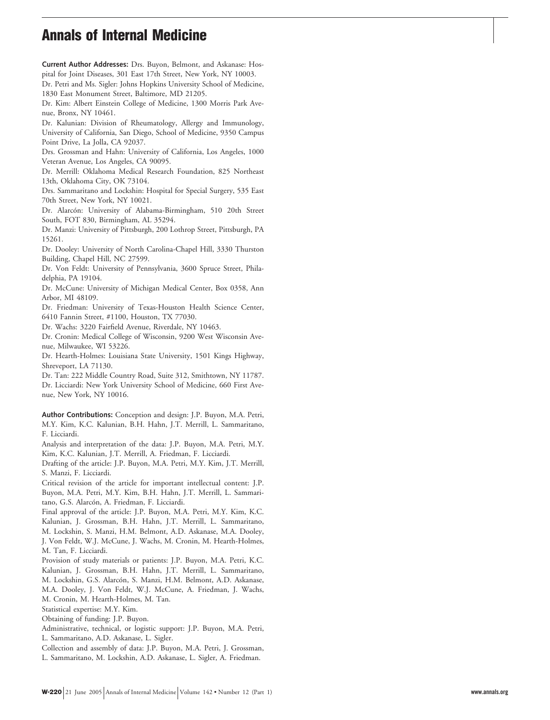# **Annals of Internal Medicine**

**Current Author Addresses:** Drs. Buyon, Belmont, and Askanase: Hospital for Joint Diseases, 301 East 17th Street, New York, NY 10003.

Dr. Petri and Ms. Sigler: Johns Hopkins University School of Medicine, 1830 East Monument Street, Baltimore, MD 21205.

Dr. Kim: Albert Einstein College of Medicine, 1300 Morris Park Avenue, Bronx, NY 10461.

Dr. Kalunian: Division of Rheumatology, Allergy and Immunology, University of California, San Diego, School of Medicine, 9350 Campus Point Drive, La Jolla, CA 92037.

Drs. Grossman and Hahn: University of California, Los Angeles, 1000 Veteran Avenue, Los Angeles, CA 90095.

Dr. Merrill: Oklahoma Medical Research Foundation, 825 Northeast 13th, Oklahoma City, OK 73104.

Drs. Sammaritano and Lockshin: Hospital for Special Surgery, 535 East 70th Street, New York, NY 10021.

Dr. Alarcón: University of Alabama-Birmingham, 510 20th Street South, FOT 830, Birmingham, AL 35294.

Dr. Manzi: University of Pittsburgh, 200 Lothrop Street, Pittsburgh, PA 15261.

Dr. Dooley: University of North Carolina-Chapel Hill, 3330 Thurston Building, Chapel Hill, NC 27599.

Dr. Von Feldt: University of Pennsylvania, 3600 Spruce Street, Philadelphia, PA 19104.

Dr. McCune: University of Michigan Medical Center, Box 0358, Ann Arbor, MI 48109.

Dr. Friedman: University of Texas-Houston Health Science Center, 6410 Fannin Street, #1100, Houston, TX 77030.

Dr. Wachs: 3220 Fairfield Avenue, Riverdale, NY 10463.

Dr. Cronin: Medical College of Wisconsin, 9200 West Wisconsin Avenue, Milwaukee, WI 53226.

Dr. Hearth-Holmes: Louisiana State University, 1501 Kings Highway, Shreveport, LA 71130.

Dr. Tan: 222 Middle Country Road, Suite 312, Smithtown, NY 11787. Dr. Licciardi: New York University School of Medicine, 660 First Avenue, New York, NY 10016.

**Author Contributions:** Conception and design: J.P. Buyon, M.A. Petri, M.Y. Kim, K.C. Kalunian, B.H. Hahn, J.T. Merrill, L. Sammaritano, F. Licciardi.

Analysis and interpretation of the data: J.P. Buyon, M.A. Petri, M.Y. Kim, K.C. Kalunian, J.T. Merrill, A. Friedman, F. Licciardi.

Drafting of the article: J.P. Buyon, M.A. Petri, M.Y. Kim, J.T. Merrill, S. Manzi, F. Licciardi.

Critical revision of the article for important intellectual content: J.P. Buyon, M.A. Petri, M.Y. Kim, B.H. Hahn, J.T. Merrill, L. Sammaritano, G.S. Alarcón, A. Friedman, F. Licciardi.

Final approval of the article: J.P. Buyon, M.A. Petri, M.Y. Kim, K.C. Kalunian, J. Grossman, B.H. Hahn, J.T. Merrill, L. Sammaritano, M. Lockshin, S. Manzi, H.M. Belmont, A.D. Askanase, M.A. Dooley, J. Von Feldt, W.J. McCune, J. Wachs, M. Cronin, M. Hearth-Holmes, M. Tan, F. Licciardi.

Provision of study materials or patients: J.P. Buyon, M.A. Petri, K.C. Kalunian, J. Grossman, B.H. Hahn, J.T. Merrill, L. Sammaritano, M. Lockshin, G.S. Alarcón, S. Manzi, H.M. Belmont, A.D. Askanase, M.A. Dooley, J. Von Feldt, W.J. McCune, A. Friedman, J. Wachs, M. Cronin, M. Hearth-Holmes, M. Tan.

Statistical expertise: M.Y. Kim.

Obtaining of funding: J.P. Buyon.

Administrative, technical, or logistic support: J.P. Buyon, M.A. Petri, L. Sammaritano, A.D. Askanase, L. Sigler.

Collection and assembly of data: J.P. Buyon, M.A. Petri, J. Grossman,

L. Sammaritano, M. Lockshin, A.D. Askanase, L. Sigler, A. Friedman.